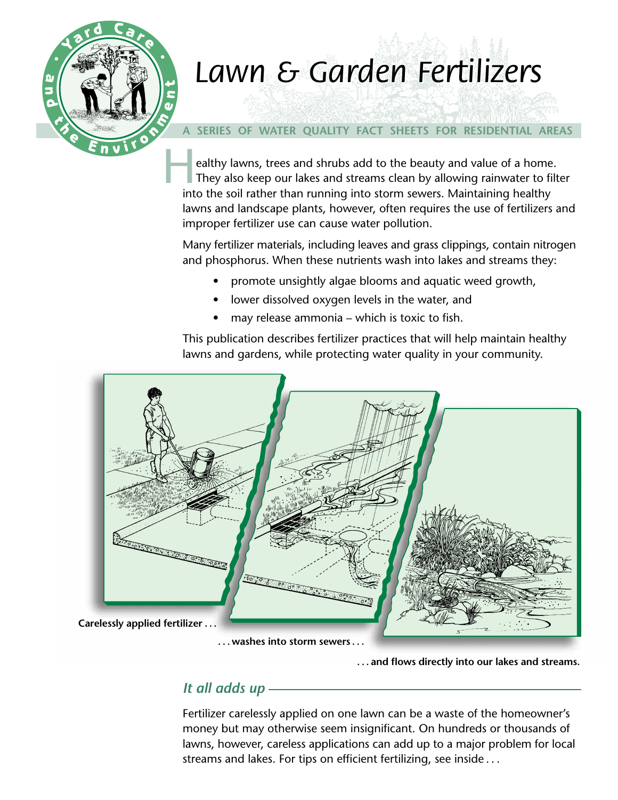

# *Lawn & Garden Fertilizers Lawn & Garden Fertilizers*

## **A SERIES OF WATER QUALITY FACT SHEETS FOR RESIDENTIAL AREAS**

 $H_{\text{int}}$ ealthy lawns, trees and shrubs add to the beauty and value of a home. They also keep our lakes and streams clean by allowing rainwater to filter into the soil rather than running into storm sewers. Maintaining healthy lawns and landscape plants, however, often requires the use of fertilizers and improper fertilizer use can cause water pollution.

Many fertilizer materials, including leaves and grass clippings, contain nitrogen and phosphorus. When these nutrients wash into lakes and streams they:

- promote unsightly algae blooms and aquatic weed growth,
- lower dissolved oxygen levels in the water, and
- may release ammonia which is toxic to fish.

This publication describes fertilizer practices that will help maintain healthy lawns and gardens, while protecting water quality in your community.



**. . . and flows directly into our lakes and streams.**

# *It all adds up*

Fertilizer carelessly applied on one lawn can be a waste of the homeowner's money but may otherwise seem insignificant. On hundreds or thousands of lawns, however, careless applications can add up to a major problem for local streams and lakes. For tips on efficient fertilizing, see inside . . .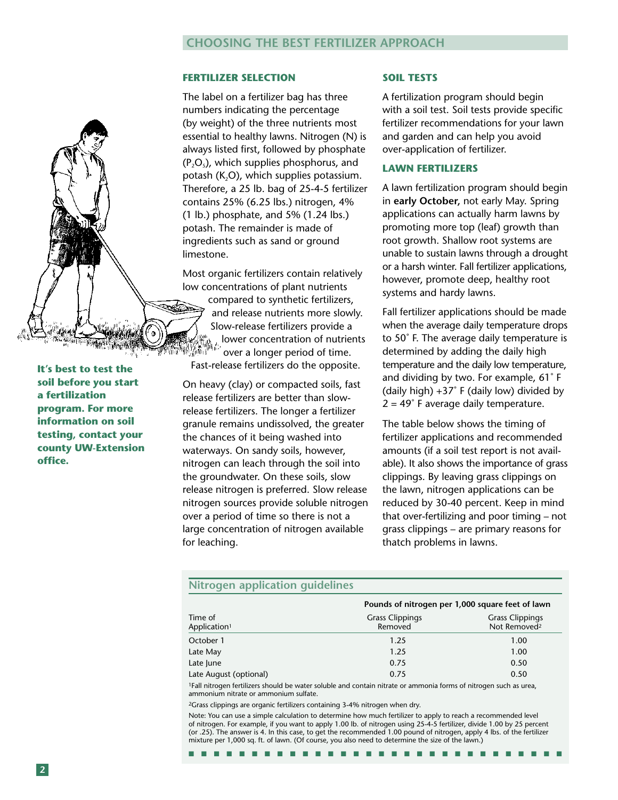### **CHOOSING THE BEST FERTILIZER APPROACH**

#### **FERTILIZER SELECTION**

The label on a fertilizer bag has three numbers indicating the percentage (by weight) of the three nutrients most essential to healthy lawns. Nitrogen (N) is always listed first, followed by phosphate  $(P, O_s)$ , which supplies phosphorus, and potash  $(K<sub>2</sub>O)$ , which supplies potassium. Therefore, a 25 lb. bag of 25-4-5 fertilizer contains 25% (6.25 lbs.) nitrogen, 4% (1 lb.) phosphate, and 5% (1.24 lbs.) potash. The remainder is made of ingredients such as sand or ground limestone.

Most organic fertilizers contain relatively low concentrations of plant nutrients compared to synthetic fertilizers, and release nutrients more slowly. Slow-release fertilizers provide a lower concentration of nutrients 為痛 over a longer period of time. Fast-release fertilizers do the opposite.

On heavy (clay) or compacted soils, fast release fertilizers are better than slowrelease fertilizers. The longer a fertilizer granule remains undissolved, the greater the chances of it being washed into waterways. On sandy soils, however, nitrogen can leach through the soil into the groundwater. On these soils, slow release nitrogen is preferred. Slow release nitrogen sources provide soluble nitrogen over a period of time so there is not a large concentration of nitrogen available for leaching.

#### **SOIL TESTS**

A fertilization program should begin with a soil test. Soil tests provide specific fertilizer recommendations for your lawn and garden and can help you avoid over-application of fertilizer.

#### **LAWN FERTILIZERS**

A lawn fertilization program should begin in **early October,** not early May. Spring applications can actually harm lawns by promoting more top (leaf) growth than root growth. Shallow root systems are unable to sustain lawns through a drought or a harsh winter. Fall fertilizer applications, however, promote deep, healthy root systems and hardy lawns.

Fall fertilizer applications should be made when the average daily temperature drops to 50˚ F. The average daily temperature is determined by adding the daily high temperature and the daily low temperature, and dividing by two. For example, 61˚ F (daily high)  $+37°$  F (daily low) divided by  $2 = 49°$  F average daily temperature.

The table below shows the timing of fertilizer applications and recommended amounts (if a soil test report is not available). It also shows the importance of grass clippings. By leaving grass clippings on the lawn, nitrogen applications can be reduced by 30-40 percent. Keep in mind that over-fertilizing and poor timing – not grass clippings – are primary reasons for thatch problems in lawns.

#### **Nitrogen application guidelines**

|                                     | Pounds of nitrogen per 1,000 square feet of lawn |                                                    |
|-------------------------------------|--------------------------------------------------|----------------------------------------------------|
| Time of<br>Application <sup>1</sup> | <b>Grass Clippings</b><br>Removed                | <b>Grass Clippings</b><br>Not Removed <sup>2</sup> |
| October 1                           | 1.25                                             | 1.00                                               |
| Late May                            | 1.25                                             | 1.00                                               |
| Late June                           | 0.75                                             | 0.50                                               |
| Late August (optional)              | 0.75                                             | 0.50                                               |
|                                     |                                                  |                                                    |

1Fall nitrogen fertilizers should be water soluble and contain nitrate or ammonia forms of nitrogen such as urea, ammonium nitrate or ammonium sulfate.

2Grass clippings are organic fertilizers containing 3-4% nitrogen when dry.

Note: You can use a simple calculation to determine how much fertilizer to apply to reach a recommended level of nitrogen. For example, if you want to apply 1.00 lb. of nitrogen using 25-4-5 fertilizer, divide 1.00 by 25 percent (or .25). The answer is 4. In this case, to get the recommended 1.00 pound of nitrogen, apply 4 lbs. of the fertilizer mixture per 1,000 sq. ft. of lawn. (Of course, you also need to determine the size of the lawn.)

■ ■ ■ ■ ■ ■ ■ ■ ■ ■ ■ ■ ■ ■ ■ ■ ■ ■ ■ ■ ■ ■ ■ ■ ■ ■ ■ ■ ■ ■

**soil before you start a fertilization program. For more information on soil testing, contact your county UW-Extension office.**

**It's best to test the**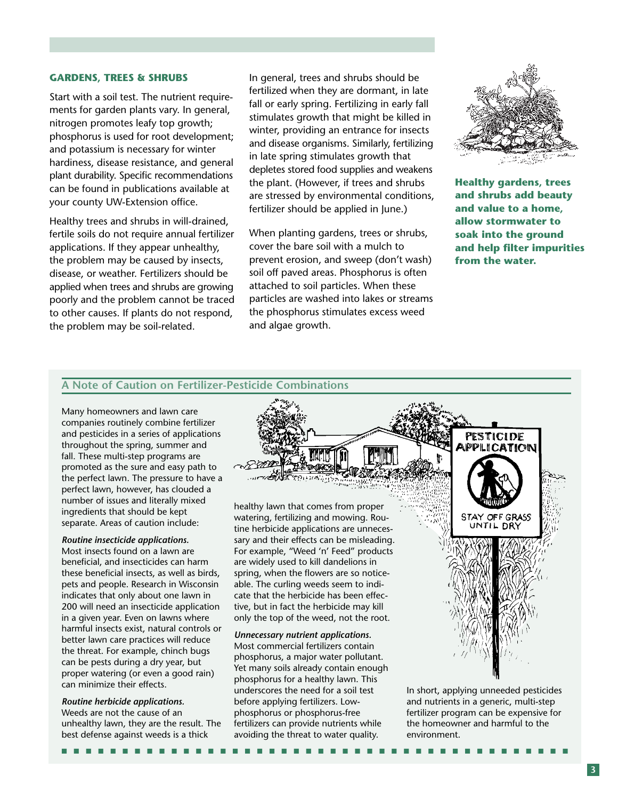#### **GARDENS, TREES & SHRUBS**

Start with a soil test. The nutrient requirements for garden plants vary. In general, nitrogen promotes leafy top growth; phosphorus is used for root development; and potassium is necessary for winter hardiness, disease resistance, and general plant durability. Specific recommendations can be found in publications available at your county UW-Extension office.

Healthy trees and shrubs in will-drained, fertile soils do not require annual fertilizer applications. If they appear unhealthy, the problem may be caused by insects, disease, or weather. Fertilizers should be applied when trees and shrubs are growing poorly and the problem cannot be traced to other causes. If plants do not respond, the problem may be soil-related.

In general, trees and shrubs should be fertilized when they are dormant, in late fall or early spring. Fertilizing in early fall stimulates growth that might be killed in winter, providing an entrance for insects and disease organisms. Similarly, fertilizing in late spring stimulates growth that depletes stored food supplies and weakens the plant. (However, if trees and shrubs are stressed by environmental conditions, fertilizer should be applied in June.)

When planting gardens, trees or shrubs, cover the bare soil with a mulch to prevent erosion, and sweep (don't wash) soil off paved areas. Phosphorus is often attached to soil particles. When these particles are washed into lakes or streams the phosphorus stimulates excess weed and algae growth.



**Healthy gardens, trees and shrubs add beauty and value to a home, allow stormwater to soak into the ground and help filter impurities from the water.**

#### **A Note of Caution on Fertilizer-Pesticide Combinations**

Many homeowners and lawn care companies routinely combine fertilizer and pesticides in a series of applications throughout the spring, summer and fall. These multi-step programs are promoted as the sure and easy path to the perfect lawn. The pressure to have a perfect lawn, however, has clouded a number of issues and literally mixed ingredients that should be kept separate. Areas of caution include:

#### *Routine insecticide applications.*

Most insects found on a lawn are beneficial, and insecticides can harm these beneficial insects, as well as birds, pets and people. Research in Wisconsin indicates that only about one lawn in 200 will need an insecticide application in a given year. Even on lawns where harmful insects exist, natural controls or better lawn care practices will reduce the threat. For example, chinch bugs can be pests during a dry year, but proper watering (or even a good rain) can minimize their effects.

#### *Routine herbicide applications.* Weeds are not the cause of an unhealthy lawn, they are the result. The best defense against weeds is a thick



healthy lawn that comes from proper watering, fertilizing and mowing. Routine herbicide applications are unnecessary and their effects can be misleading. For example, "Weed 'n' Feed" products are widely used to kill dandelions in spring, when the flowers are so noticeable. The curling weeds seem to indicate that the herbicide has been effective, but in fact the herbicide may kill only the top of the weed, not the root.

#### *Unnecessary nutrient applications.*

Most commercial fertilizers contain phosphorus, a major water pollutant. Yet many soils already contain enough phosphorus for a healthy lawn. This underscores the need for a soil test before applying fertilizers. Lowphosphorus or phosphorus-free fertilizers can provide nutrients while avoiding the threat to water quality.

■ ■ ■ ■ ■ ■ ■ ■ ■ ■ ■ ■ ■ ■ ■ ■ ■ ■ ■ ■ ■ ■ ■ ■ ■ ■ ■ ■ ■ ■ ■ ■ ■ ■ ■ ■ ■ ■ ■ ■ ■ ■

STAY OFF GRASS UNTIL DRY

In short, applying unneeded pesticides and nutrients in a generic, multi-step fertilizer program can be expensive for the homeowner and harmful to the environment.